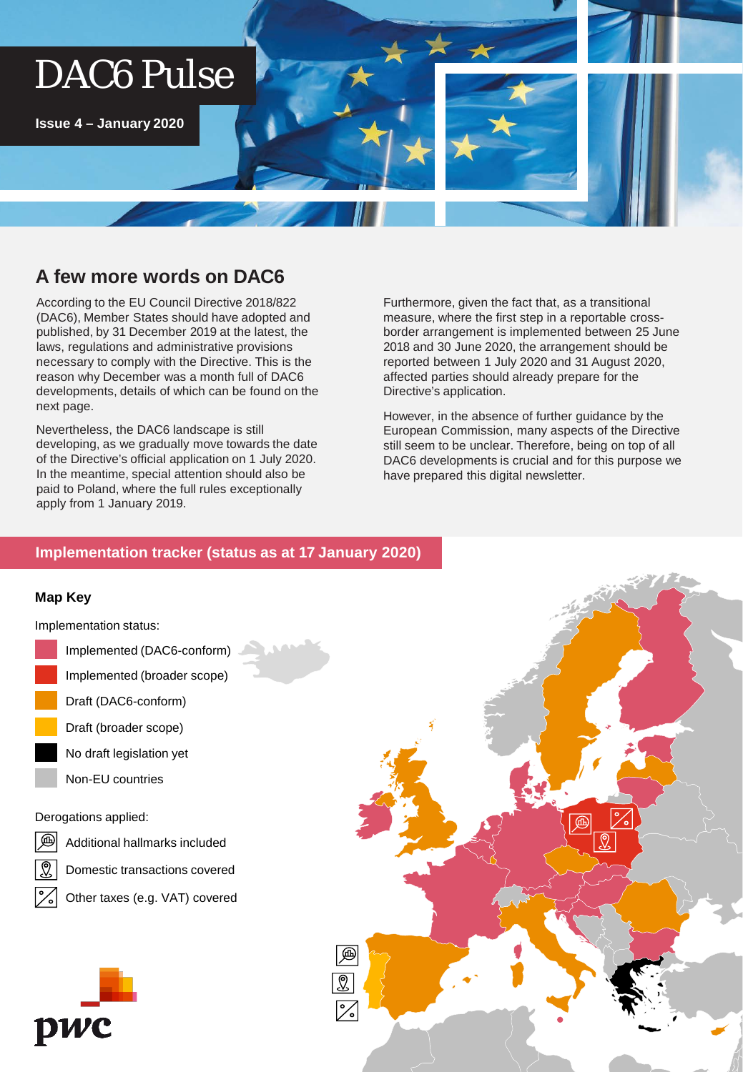# DAC6 Pulse

**Issue 4 – January 2020**

## **A few more words on DAC6**

According to the EU Council Directive 2018/822 (DAC6), Member States should have adopted and published, by 31 December 2019 at the latest, the laws, regulations and administrative provisions necessary to comply with the Directive. This is the reason why December was a month full of DAC6 developments, details of which can be found on the next page.

Nevertheless, the DAC6 landscape is still developing, as we gradually move towards the date of the Directive's official application on 1 July 2020. In the meantime, special attention should also be paid to Poland, where the full rules exceptionally apply from 1 January 2019.

Furthermore, given the fact that, as a transitional measure, where the first step in a reportable crossborder arrangement is implemented between 25 June 2018 and 30 June 2020, the arrangement should be reported between 1 July 2020 and 31 August 2020, affected parties should already prepare for the Directive's application.

However, in the absence of further guidance by the European Commission, many aspects of the Directive still seem to be unclear. Therefore, being on top of all DAC6 developments is crucial and for this purpose we have prepared this digital newsletter.

### **Implementation tracker (status as at 17 January 2020)**

#### **Map Key**

Implementation status:

- Implemented (DAC6-conform) Implemented (broader scope) Draft (DAC6-conform) Draft (broader scope)
	- No draft legislation yet
		- Non-EU countries

Derogations applied:

- ௵
	- Additional hallmarks included
	- Domestic transactions covered
		- Other taxes (e.g. VAT) covered



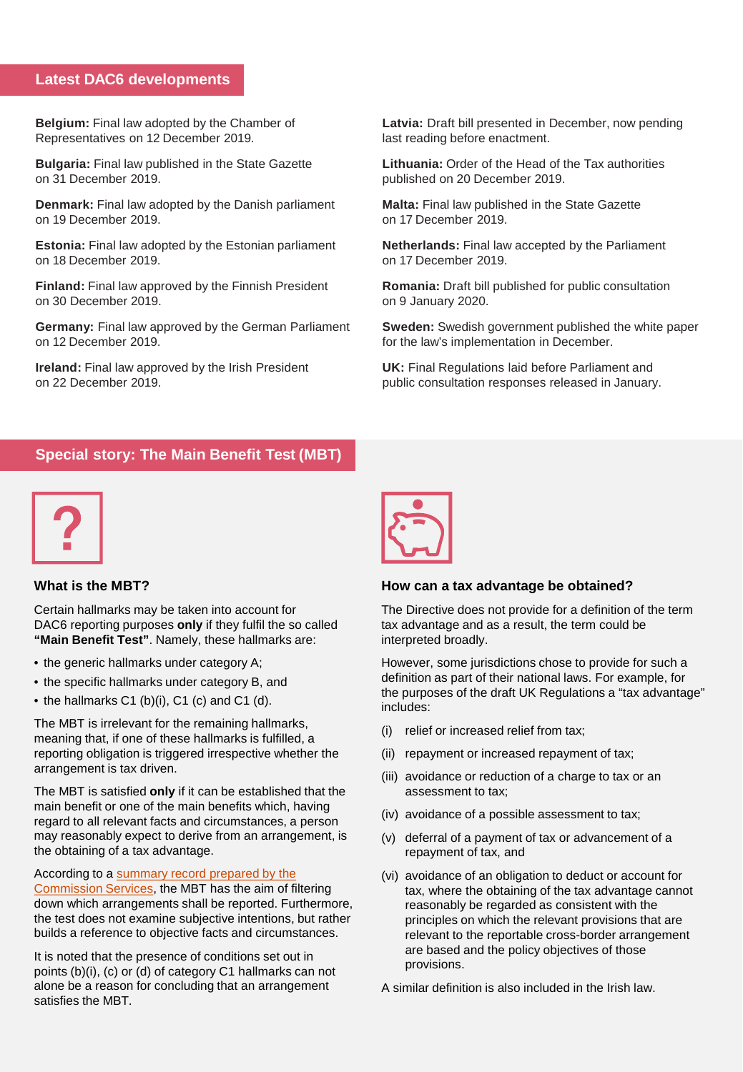#### **Latest DAC6 developments**

**Belgium:** Final law adopted by the Chamber of Representatives on 12 December 2019.

**Bulgaria:** Final law published in the State Gazette on 31 December 2019.

**Denmark:** Final law adopted by the Danish parliament on 19 December 2019.

**Estonia:** Final law adopted by the Estonian parliament on 18 December 2019.

**Finland:** Final law approved by the Finnish President on 30 December 2019.

**Germany:** Final law approved by the German Parliament on 12 December 2019.

**Ireland:** Final law approved by the Irish President on 22 December 2019.

**Latvia:** Draft bill presented in December, now pending last reading before enactment.

**Lithuania:** Order of the Head of the Tax authorities published on 20 December 2019.

**Malta:** Final law published in the State Gazette on 17 December 2019.

**Netherlands:** Final law accepted by the Parliament on 17 December 2019.

**Romania:** Draft bill published for public consultation on 9 January 2020.

**Sweden:** Swedish government published the white paper for the law's implementation in December.

**UK:** Final Regulations laid before Parliament and public consultation responses released in January.

## **Special story: The Main Benefit Test (MBT)**



#### **What is the MBT?**

Certain hallmarks may be taken into account for DAC6 reporting purposes **only** if they fulfil the so called **"Main Benefit Test"**. Namely, these hallmarks are:

- the generic hallmarks under category A;
- the specific hallmarks under category B, and
- the hallmarks C1 (b)(i), C1 (c) and C1 (d).

The MBT is irrelevant for the remaining hallmarks, meaning that, if one of these hallmarks is fulfilled, a reporting obligation is triggered irrespective whether the arrangement is tax driven.

The MBT is satisfied **only** if it can be established that the main benefit or one of the main benefits which, having regard to all relevant facts and circumstances, a person may reasonably expect to derive from an arrangement, is the obtaining of a tax advantage.

[According to a summary record prepared by the](https://ec.europa.eu/transparency/regexpert/index.cfm?do=groupDetail.groupMeetingDoc&docid=19686)

Commission Services, the MBT has the aim of filtering down which arrangements shall be reported. Furthermore, the test does not examine subjective intentions, but rather builds a reference to objective facts and circumstances.

It is noted that the presence of conditions set out in points (b)(i), (c) or (d) of category C1 hallmarks can not alone be a reason for concluding that an arrangement satisfies the MBT.



#### **How can a tax advantage be obtained?**

The Directive does not provide for a definition of the term tax advantage and as a result, the term could be interpreted broadly.

However, some jurisdictions chose to provide for such a definition as part of their national laws. For example, for the purposes of the draft UK Regulations a "tax advantage" includes:

- (i) relief or increased relief from tax;
- (ii) repayment or increased repayment of tax;
- (iii) avoidance or reduction of a charge to tax or an assessment to tax;
- (iv) avoidance of a possible assessment to tax;
- (v) deferral of a payment of tax or advancement of a repayment of tax, and
- (vi) avoidance of an obligation to deduct or account for tax, where the obtaining of the tax advantage cannot reasonably be regarded as consistent with the principles on which the relevant provisions that are relevant to the reportable cross-border arrangement are based and the policy objectives of those provisions.

A similar definition is also included in the Irish law.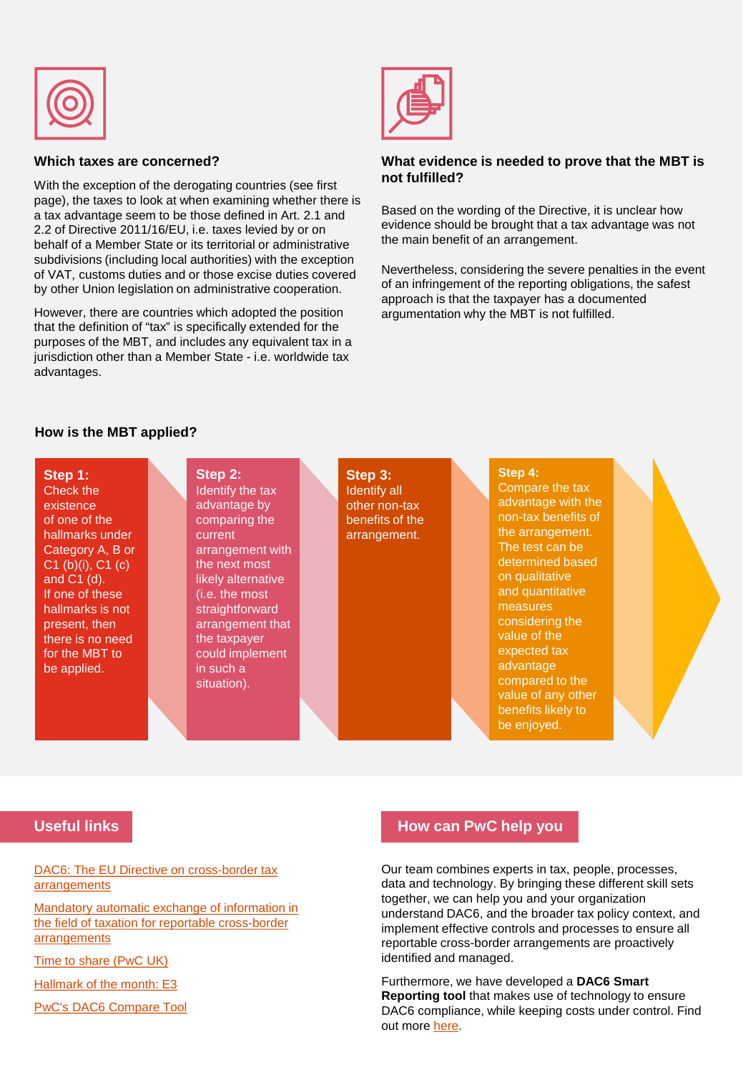

#### **Which taxes are concerned?**

With the exception of the derogating countries (see first page), the taxes to look at when examining whether there is a tax advantage seem to be those defined in Art. 2.1 and 2.2 of Directive 2011/16/EU, i.e. taxes levied by or on behalf of a Member State or its territorial or administrative subdivisions (including local authorities) with the exception of VAT, customs duties and or those excise duties covered by other Union legislation on administrative cooperation.

However, there are countries which adopted the position that the definition of "tax" is specifically extended for the purposes of the MBT, and includes any equivalent tax in a jurisdiction other than a Member State - i.e. worldwide tax advantages.



#### **What evidence is needed to prove that the MBT is not fulfilled?**

Based on the wording of the Directive, it is unclear how evidence should be brought that a tax advantage was not the main benefit of an arrangement.

Nevertheless, considering the severe penalties in the event of an infringement of the reporting obligations, the safest approach is that the taxpayer has a documented argumentation why the MBT is not fulfilled.

#### **How is the MBT applied?**

#### **Step 1:**  Check the existence of one of the hallmarks under Category A, B or C1 (b)(i), C1 (c) and C1 (d). If one of these hallmarks is not present, then there is no need for the MBT to be applied.

#### **Step 2:**  Identify the tax advantage by comparing the

current arrangement with the next most likely alternative (i.e. the most straightforward arrangement that the taxpayer could implement in such a situation).

**Step 3:**  Identify all other non-tax benefits of the arrangement.

#### **Step 4:**

Compare the tax advantage with the non-tax benefits of the arrangement. The test can be determined based on qualitative and quantitative measures considering the value of the expected tax advantage compared to the value of any other benefits likely to be enjoyed.

#### **Useful links**

#### [DAC6: The EU Directive on cross-border tax](https://www.pwc.com/gx/en/services/tax/tax-policy-administration/dac6-eu-directive-on-cross-border-tax-arrangements.html)  arrangements

[Mandatory automatic exchange of information in](https://www.pwc.lu/en/tax/docs/pwc-mandatory-automatic-exchange-information.pdf)  the field of taxation for reportable cross-border **arrangements** 

[Time to share \(PwC UK\)](https://www.taxadvisermagazine.com/article/time-share)

[Hallmark of the month: E3](https://www.pwc.nl/nl/assets/documents/DAC6/DAC6%20Pulse%20-%20November%202019%20-Issue%202%20-%20Hallmark%20of%20the%20month.pdf)

[PwC's DAC6 Compare Tool](https://www.youtube.com/watch?v=B131cA9bBvs&feature=emb_title)

#### **How can PwC help you**

Our team combines experts in tax, people, processes, data and technology. By bringing these different skill sets together, we can help you and your organization understand DAC6, and the broader tax policy context, and implement effective controls and processes to ensure all reportable cross-border arrangements are proactively identified and managed.

Furthermore, we have developed a **DAC6 Smart Reporting tool** that makes use of technology to ensure DAC6 compliance, while keeping costs under control. Find out more [here](https://store.pwc.ch/de/service/smartsurvey-for-dac6).